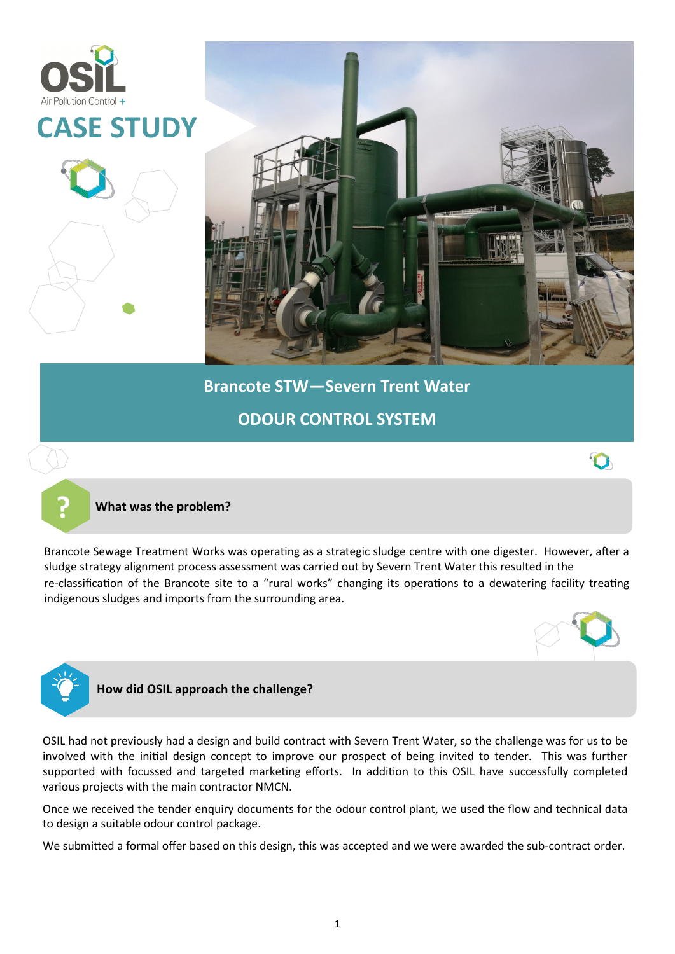



Brancote Sewage Treatment Works was operating as a strategic sludge centre with one digester. However, after a sludge strategy alignment process assessment was carried out by Severn Trent Water this resulted in the re-classification of the Brancote site to a "rural works" changing its operations to a dewatering facility treating indigenous sludges and imports from the surrounding area.





# **How did OSIL approach the challenge?**

OSIL had not previously had a design and build contract with Severn Trent Water, so the challenge was for us to be involved with the initial design concept to improve our prospect of being invited to tender. This was further supported with focussed and targeted marketing efforts. In addition to this OSIL have successfully completed various projects with the main contractor NMCN.

Once we received the tender enquiry documents for the odour control plant, we used the flow and technical data to design a suitable odour control package.

We submitted a formal offer based on this design, this was accepted and we were awarded the sub-contract order.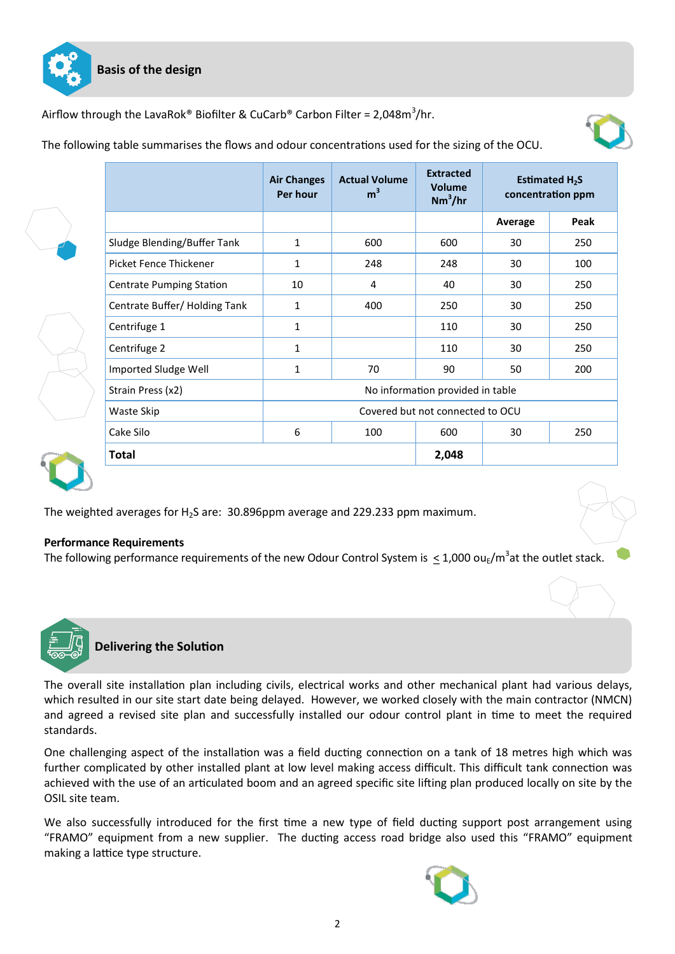

Airflow through the LavaRok® Biofilter & CuCarb® Carbon Filter = 2,048m $^3$ /hr.



The following table summarises the flows and odour concentrations used for the sizing of the OCU.

|  |                                 | <b>Air Changes</b><br>Per hour   | <b>Actual Volume</b><br>m <sup>3</sup> | <b>Extracted</b><br><b>Volume</b><br>$Nm^3/hr$ | Estimated $H_2S$<br>concentration ppm |      |
|--|---------------------------------|----------------------------------|----------------------------------------|------------------------------------------------|---------------------------------------|------|
|  |                                 |                                  |                                        |                                                | Average                               | Peak |
|  | Sludge Blending/Buffer Tank     | 1                                | 600                                    | 600                                            | 30                                    | 250  |
|  | Picket Fence Thickener          | 1                                | 248                                    | 248                                            | 30                                    | 100  |
|  | <b>Centrate Pumping Station</b> | 10                               | 4                                      | 40                                             | 30                                    | 250  |
|  | Centrate Buffer/Holding Tank    | 1                                | 400                                    | 250                                            | 30                                    | 250  |
|  | Centrifuge 1                    | 1                                |                                        | 110                                            | 30                                    | 250  |
|  | Centrifuge 2                    | $\mathbf{1}$                     |                                        | 110                                            | 30                                    | 250  |
|  | Imported Sludge Well            | 1                                | 70                                     | 90                                             | 50                                    | 200  |
|  | Strain Press (x2)               | No information provided in table |                                        |                                                |                                       |      |
|  | Waste Skip                      | Covered but not connected to OCU |                                        |                                                |                                       |      |
|  | Cake Silo                       | 6                                | 100                                    | 600                                            | 30                                    | 250  |
|  | <b>Total</b>                    |                                  |                                        | 2,048                                          |                                       |      |

The weighted averages for H2S are: 30.896ppm average and 229.233 ppm maximum.

## **Performance Requirements**

The following performance requirements of the new Odour Control System is  $\leq$  1,000 ou<sub>E</sub>/m<sup>3</sup>at the outlet stack.



**Delivering the Solution**

The overall site installation plan including civils, electrical works and other mechanical plant had various delays, which resulted in our site start date being delayed. However, we worked closely with the main contractor (NMCN) and agreed a revised site plan and successfully installed our odour control plant in time to meet the required standards.

One challenging aspect of the installation was a field ducting connection on a tank of 18 metres high which was further complicated by other installed plant at low level making access difficult. This difficult tank connection was achieved with the use of an articulated boom and an agreed specific site lifting plan produced locally on site by the OSIL site team.

We also successfully introduced for the first time a new type of field ducting support post arrangement using "FRAMO" equipment from a new supplier. The ducting access road bridge also used this "FRAMO" equipment making a lattice type structure.

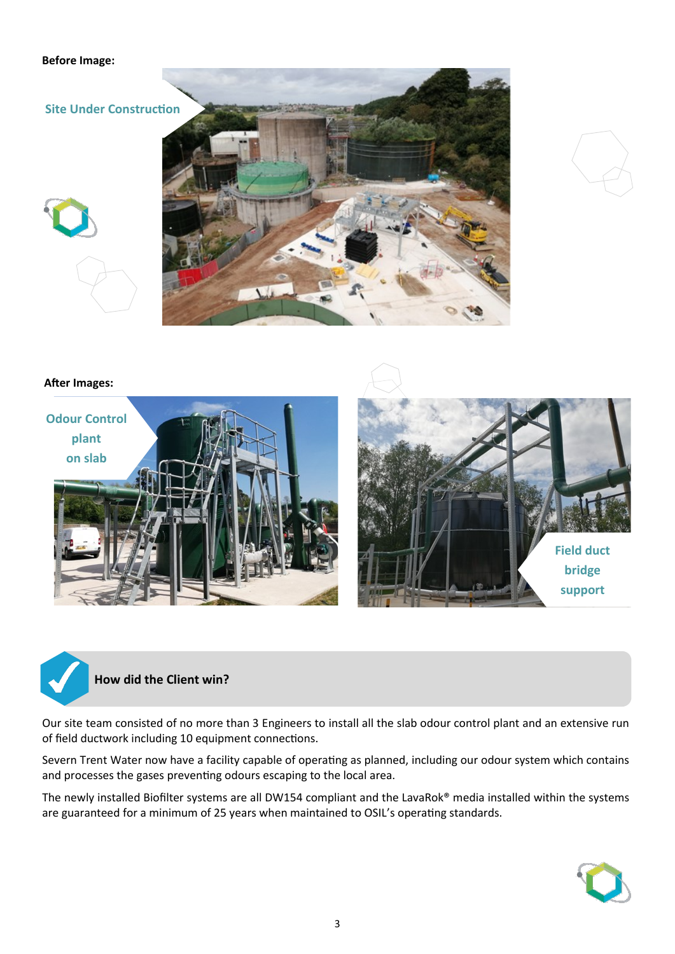#### **Before Image:**

**Site Under Construction**





## **After Images:**





# **How did the Client win?**

Our site team consisted of no more than 3 Engineers to install all the slab odour control plant and an extensive run of field ductwork including 10 equipment connections.

Severn Trent Water now have a facility capable of operating as planned, including our odour system which contains and processes the gases preventing odours escaping to the local area.

The newly installed Biofilter systems are all DW154 compliant and the LavaRok® media installed within the systems are guaranteed for a minimum of 25 years when maintained to OSIL's operating standards.